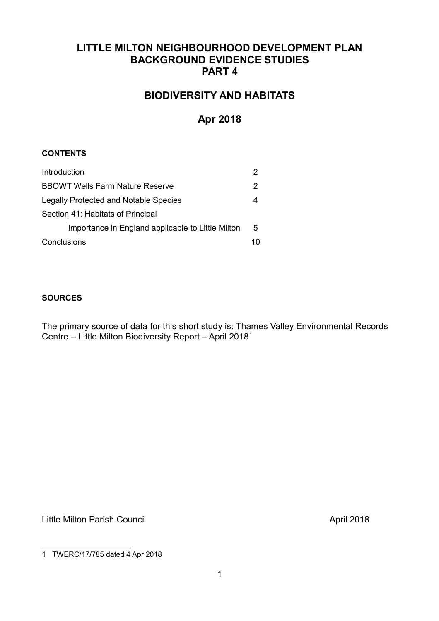# **LITTLE MILTON NEIGHBOURHOOD DEVELOPMENT PLAN BACKGROUND EVIDENCE STUDIES PART 4**

# **BIODIVERSITY AND HABITATS**

# **Apr 2018**

## **CONTENTS**

| Introduction                                      |   |  |  |
|---------------------------------------------------|---|--|--|
| <b>BBOWT Wells Farm Nature Reserve</b>            |   |  |  |
| <b>Legally Protected and Notable Species</b>      |   |  |  |
| Section 41: Habitats of Principal                 |   |  |  |
| Importance in England applicable to Little Milton | 5 |  |  |
| Conclusions                                       |   |  |  |

## **SOURCES**

The primary source of data for this short study is: Thames Valley Environmental Records Centre – Little Milton Biodiversity Report – April 2018[1](#page-0-0)

Little Milton Parish Council and the Council April 2018

<span id="page-0-0"></span><sup>1</sup> TWERC/17/785 dated 4 Apr 2018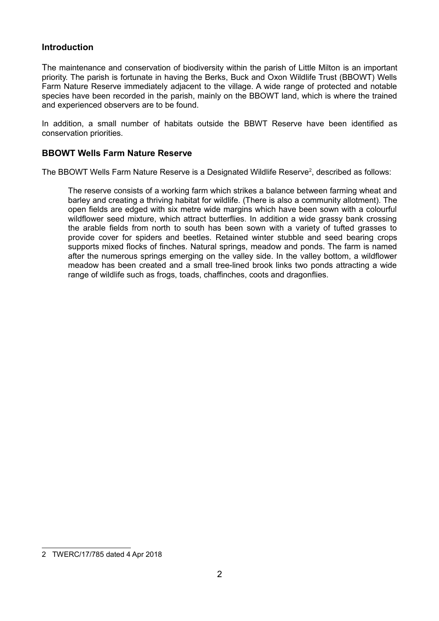## **Introduction**

The maintenance and conservation of biodiversity within the parish of Little Milton is an important priority. The parish is fortunate in having the Berks, Buck and Oxon Wildlife Trust (BBOWT) Wells Farm Nature Reserve immediately adjacent to the village. A wide range of protected and notable species have been recorded in the parish, mainly on the BBOWT land, which is where the trained and experienced observers are to be found.

In addition, a small number of habitats outside the BBWT Reserve have been identified as conservation priorities.

## **BBOWT Wells Farm Nature Reserve**

The BBOWT Wells Farm Nature Reserve is a Designated Wildlife Reserve<sup>[2](#page-1-0)</sup>, described as follows:

The reserve consists of a working farm which strikes a balance between farming wheat and barley and creating a thriving habitat for wildlife. (There is also a community allotment). The open fields are edged with six metre wide margins which have been sown with a colourful wildflower seed mixture, which attract butterflies. In addition a wide grassy bank crossing the arable fields from north to south has been sown with a variety of tufted grasses to provide cover for spiders and beetles. Retained winter stubble and seed bearing crops supports mixed flocks of finches. Natural springs, meadow and ponds. The farm is named after the numerous springs emerging on the valley side. In the valley bottom, a wildflower meadow has been created and a small tree-lined brook links two ponds attracting a wide range of wildlife such as frogs, toads, chaffinches, coots and dragonflies.

<span id="page-1-0"></span><sup>2</sup> TWERC/17/785 dated 4 Apr 2018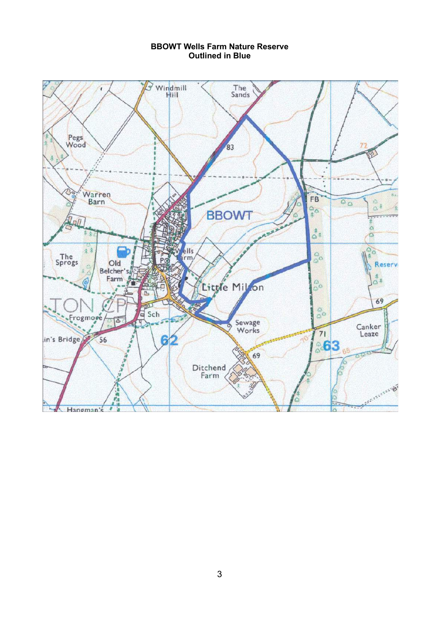#### **BBOWT Wells Farm Nature Reserve Outlined in Blue**

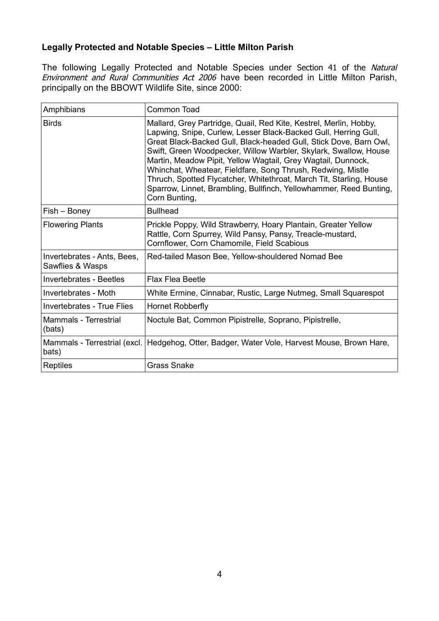# **Legally Protected and Notable Species – Little Milton Parish**

The following Legally Protected and Notable Species under Section 41 of the Natural Environment and Rural Communities Act 2006 have been recorded in Little Milton Parish, principally on the BBOWT Wildlife Site, since 2000:

| Amphibians                                      | Common Toad                                                                                                                                                                                                                                                                                                                                                                                                                                                                                                                                                                |  |  |
|-------------------------------------------------|----------------------------------------------------------------------------------------------------------------------------------------------------------------------------------------------------------------------------------------------------------------------------------------------------------------------------------------------------------------------------------------------------------------------------------------------------------------------------------------------------------------------------------------------------------------------------|--|--|
| <b>Birds</b>                                    | Mallard, Grey Partridge, Quail, Red Kite, Kestrel, Merlin, Hobby,<br>Lapwing, Snipe, Curlew, Lesser Black-Backed Gull, Herring Gull,<br>Great Black-Backed Gull, Black-headed Gull, Stick Dove, Barn Owl,<br>Swift, Green Woodpecker, Willow Warbler, Skylark, Swallow, House<br>Martin, Meadow Pipit, Yellow Wagtail, Grey Wagtail, Dunnock,<br>Whinchat, Wheatear, Fieldfare, Song Thrush, Redwing, Mistle<br>Thruch, Spotted Flycatcher, Whitethroat, March Tit, Starling, House<br>Sparrow, Linnet, Brambling, Bullfinch, Yellowhammer, Reed Bunting,<br>Corn Bunting, |  |  |
| Fish – Boney                                    | <b>Bullhead</b>                                                                                                                                                                                                                                                                                                                                                                                                                                                                                                                                                            |  |  |
| <b>Flowering Plants</b>                         | Prickle Poppy, Wild Strawberry, Hoary Plantain, Greater Yellow<br>Rattle, Corn Spurrey, Wild Pansy, Pansy, Treacle-mustard,<br>Cornflower, Corn Chamomile, Field Scabious                                                                                                                                                                                                                                                                                                                                                                                                  |  |  |
| Invertebrates - Ants, Bees,<br>Sawflies & Wasps | Red-tailed Mason Bee, Yellow-shouldered Nomad Bee                                                                                                                                                                                                                                                                                                                                                                                                                                                                                                                          |  |  |
| <b>Invertebrates - Beetles</b>                  | <b>Flax Flea Beetle</b>                                                                                                                                                                                                                                                                                                                                                                                                                                                                                                                                                    |  |  |
| Invertebrates - Moth                            | White Ermine, Cinnabar, Rustic, Large Nutmeg, Small Squarespot                                                                                                                                                                                                                                                                                                                                                                                                                                                                                                             |  |  |
| <b>Invertebrates - True Flies</b>               | Hornet Robberfly                                                                                                                                                                                                                                                                                                                                                                                                                                                                                                                                                           |  |  |
| Mammals - Terrestrial<br>(bats)                 | Noctule Bat, Common Pipistrelle, Soprano, Pipistrelle,                                                                                                                                                                                                                                                                                                                                                                                                                                                                                                                     |  |  |
| Mammals - Terrestrial (excl.<br>bats)           | Hedgehog, Otter, Badger, Water Vole, Harvest Mouse, Brown Hare,                                                                                                                                                                                                                                                                                                                                                                                                                                                                                                            |  |  |
| Reptiles                                        | <b>Grass Snake</b>                                                                                                                                                                                                                                                                                                                                                                                                                                                                                                                                                         |  |  |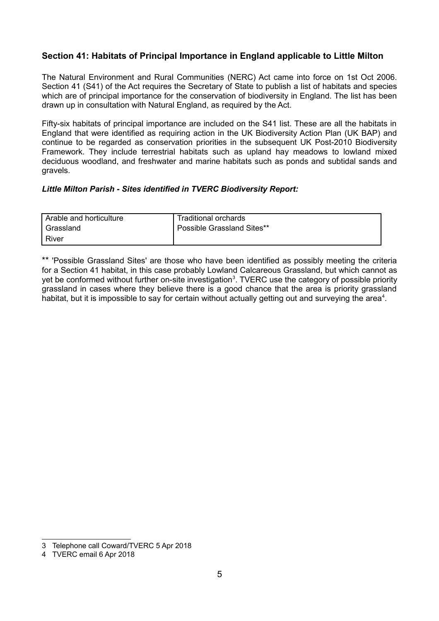# **Section 41: Habitats of Principal Importance in England applicable to Little Milton**

The Natural Environment and Rural Communities (NERC) Act came into force on 1st Oct 2006. Section 41 (S41) of the Act requires the Secretary of State to publish a list of habitats and species which are of principal importance for the conservation of biodiversity in England. The list has been drawn up in consultation with Natural England, as required by the Act.

Fifty-six habitats of principal importance are included on the S41 list. These are all the habitats in England that were identified as requiring action in the UK Biodiversity Action Plan (UK BAP) and continue to be regarded as conservation priorities in the subsequent UK Post-2010 Biodiversity Framework. They include terrestrial habitats such as upland hay meadows to lowland mixed deciduous woodland, and freshwater and marine habitats such as ponds and subtidal sands and gravels.

#### *Little Milton Parish - Sites identified in TVERC Biodiversity Report:*

| Arable and horticulture | Traditional orchards       |
|-------------------------|----------------------------|
| Grassland               | Possible Grassland Sites** |
| River                   |                            |

\*\* 'Possible Grassland Sites' are those who have been identified as possibly meeting the criteria for a Section 41 habitat, in this case probably Lowland Calcareous Grassland, but which cannot as yet be conformed without further on-site investigation<sup>[3](#page-4-0)</sup>. TVERC use the category of possible priority grassland in cases where they believe there is a good chance that the area is priority grassland habitat, but it is impossible to say for certain without actually getting out and surveying the area<sup>[4](#page-4-1)</sup>.

<span id="page-4-0"></span><sup>3</sup> Telephone call Coward/TVERC 5 Apr 2018

<span id="page-4-1"></span><sup>4</sup> TVERC email 6 Apr 2018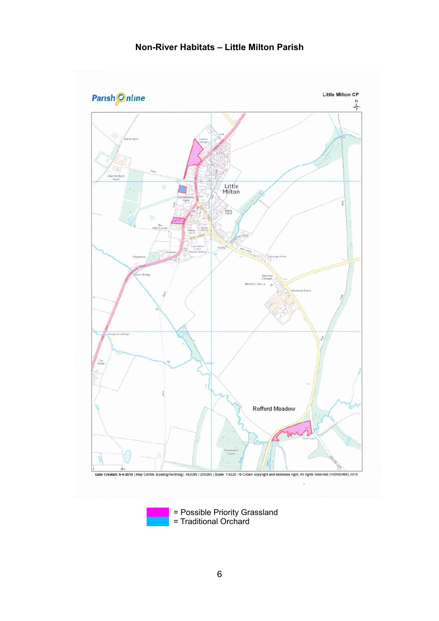

= Traditional Orchard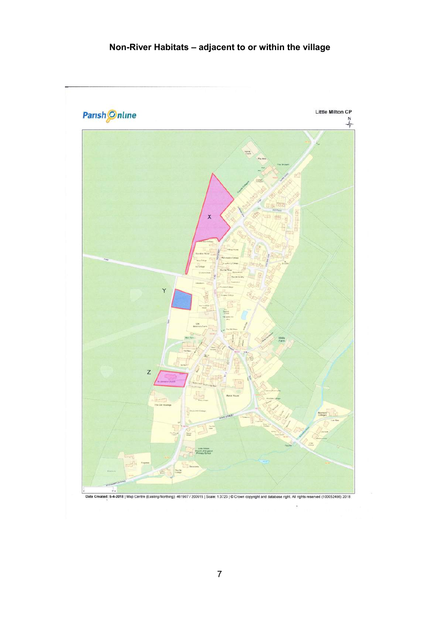# **Non-River Habitats – adjacent to or within the village**

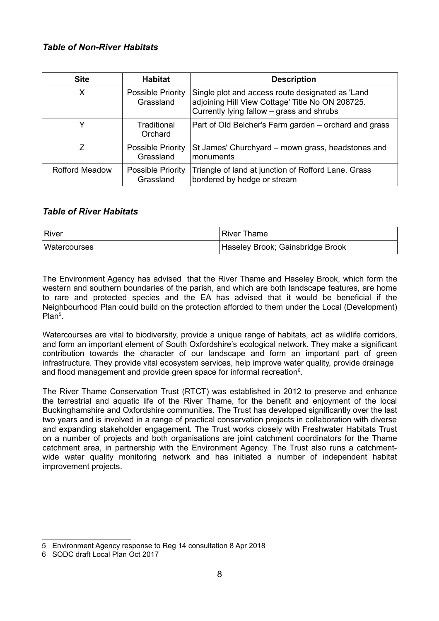# *Table of Non-River Habitats*

| <b>Site</b>           | <b>Habitat</b>                        | <b>Description</b>                                                                                                                                |
|-----------------------|---------------------------------------|---------------------------------------------------------------------------------------------------------------------------------------------------|
| Х                     | <b>Possible Priority</b><br>Grassland | Single plot and access route designated as 'Land<br>adjoining Hill View Cottage' Title No ON 208725.<br>Currently lying fallow - grass and shrubs |
| Y                     | Traditional<br>Orchard                | Part of Old Belcher's Farm garden – orchard and grass                                                                                             |
| 7                     | <b>Possible Priority</b><br>Grassland | St James' Churchyard – mown grass, headstones and<br>monuments                                                                                    |
| <b>Rofford Meadow</b> | Possible Priority<br>Grassland        | Triangle of land at junction of Rofford Lane. Grass<br>bordered by hedge or stream                                                                |

## *Table of River Habitats*

| ∣River              | <b>River Thame</b>               |
|---------------------|----------------------------------|
| <b>Watercourses</b> | Haseley Brook; Gainsbridge Brook |

The Environment Agency has advised that the River Thame and Haseley Brook, which form the western and southern boundaries of the parish, and which are both landscape features, are home to rare and protected species and the EA has advised that it would be beneficial if the Neighbourhood Plan could build on the protection afforded to them under the Local (Development) Plan<sup>[5](#page-7-0)</sup>.

Watercourses are vital to biodiversity, provide a unique range of habitats, act as wildlife corridors, and form an important element of South Oxfordshire's ecological network. They make a significant contribution towards the character of our landscape and form an important part of green infrastructure. They provide vital ecosystem services, help improve water quality, provide drainage and flood management and provide green space for informal recreation $6$ .

The River Thame Conservation Trust (RTCT) was established in 2012 to preserve and enhance the terrestrial and aquatic life of the River Thame, for the benefit and enjoyment of the local Buckinghamshire and Oxfordshire communities. The Trust has developed significantly over the last two years and is involved in a range of practical conservation projects in collaboration with diverse and expanding stakeholder engagement. The Trust works closely with Freshwater Habitats Trust on a number of projects and both organisations are joint catchment coordinators for the Thame catchment area, in partnership with the Environment Agency. The Trust also runs a catchmentwide water quality monitoring network and has initiated a number of independent habitat improvement projects.

<span id="page-7-0"></span><sup>5</sup> Environment Agency response to Reg 14 consultation 8 Apr 2018

<span id="page-7-1"></span><sup>6</sup> SODC draft Local Plan Oct 2017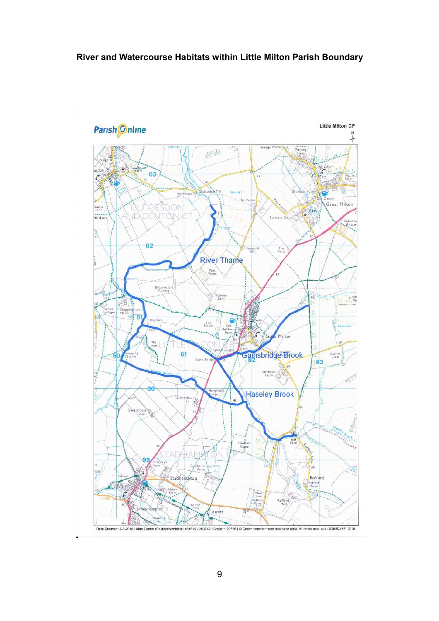